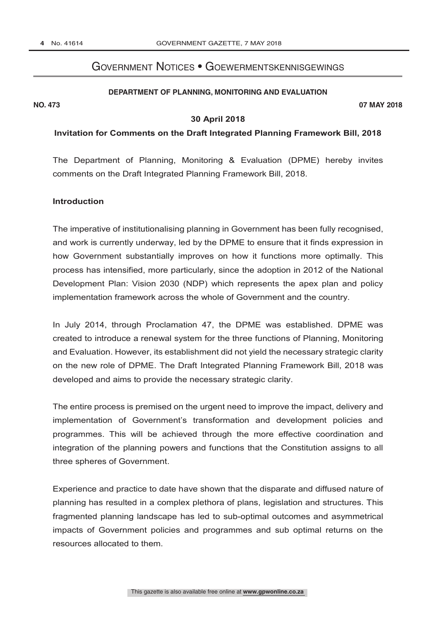# Government Notices • Goewermentskennisgewings

#### **DEPARTMENT OF PLANNING, MONITORING AND EVALUATION**

**NO. 473 07 MAY 2018**

#### **30 April 2018**

#### **Invitation for Comments on the Draft Integrated Planning Framework Bill, 2018**

The Department of Planning, Monitoring & Evaluation (DPME) hereby invites comments on the Draft Integrated Planning Framework Bill, 2018.

#### **Introduction**

The imperative of institutionalising planning in Government has been fully recognised, and work is currently underway, led by the DPME to ensure that it finds expression in how Government substantially improves on how it functions more optimally. This process has intensified, more particularly, since the adoption in 2012 of the National Development Plan: Vision 2030 (NDP) which represents the apex plan and policy implementation framework across the whole of Government and the country.

In July 2014, through Proclamation 47, the DPME was established. DPME was created to introduce a renewal system for the three functions of Planning, Monitoring and Evaluation. However, its establishment did not yield the necessary strategic clarity on the new role of DPME. The Draft Integrated Planning Framework Bill, 2018 was developed and aims to provide the necessary strategic clarity.

The entire process is premised on the urgent need to improve the impact, delivery and implementation of Government's transformation and development policies and programmes. This will be achieved through the more effective coordination and integration of the planning powers and functions that the Constitution assigns to all three spheres of Government.

Experience and practice to date have shown that the disparate and diffused nature of planning has resulted in a complex plethora of plans, legislation and structures. This fragmented planning landscape has led to sub-optimal outcomes and asymmetrical impacts of Government policies and programmes and sub optimal returns on the resources allocated to them.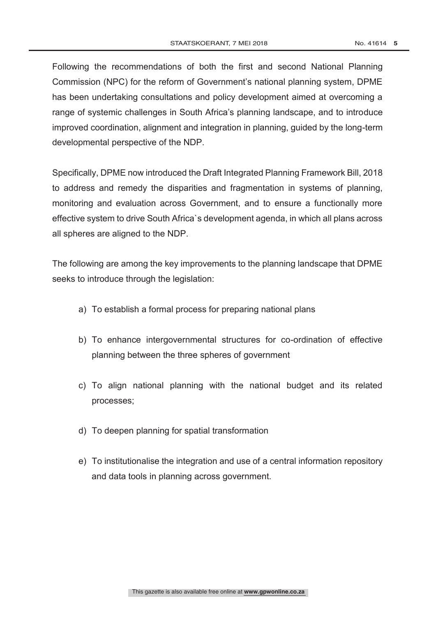Following the recommendations of both the first and second National Planning Commission (NPC) for the reform of Government's national planning system, DPME has been undertaking consultations and policy development aimed at overcoming a range of systemic challenges in South Africa's planning landscape, and to introduce improved coordination, alignment and integration in planning, guided by the long-term developmental perspective of the NDP.

Specifically, DPME now introduced the Draft Integrated Planning Framework Bill, 2018 to address and remedy the disparities and fragmentation in systems of planning, monitoring and evaluation across Government, and to ensure a functionally more effective system to drive South Africa`s development agenda, in which all plans across all spheres are aligned to the NDP.

The following are among the key improvements to the planning landscape that DPME seeks to introduce through the legislation:

- a) To establish a formal process for preparing national plans
- b) To enhance intergovernmental structures for co-ordination of effective planning between the three spheres of government
- c) To align national planning with the national budget and its related processes;
- d) To deepen planning for spatial transformation
- e) To institutionalise the integration and use of a central information repository and data tools in planning across government.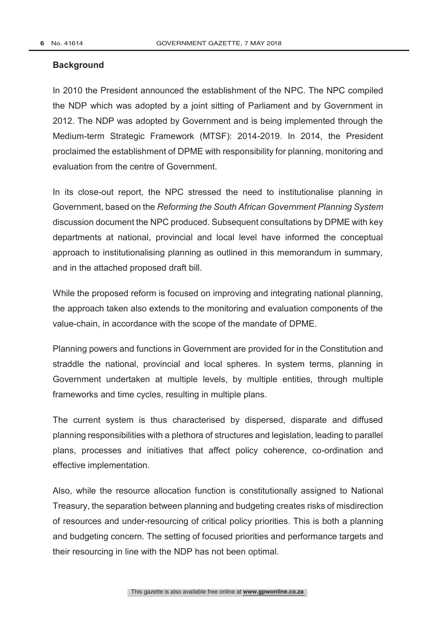### **Background**

In 2010 the President announced the establishment of the NPC. The NPC compiled the NDP which was adopted by a joint sitting of Parliament and by Government in 2012. The NDP was adopted by Government and is being implemented through the Medium-term Strategic Framework (MTSF): 2014-2019. In 2014, the President proclaimed the establishment of DPME with responsibility for planning, monitoring and evaluation from the centre of Government.

In its close-out report, the NPC stressed the need to institutionalise planning in Government, based on the *Reforming the South African Government Planning System* discussion document the NPC produced. Subsequent consultations by DPME with key departments at national, provincial and local level have informed the conceptual approach to institutionalising planning as outlined in this memorandum in summary, and in the attached proposed draft bill.

While the proposed reform is focused on improving and integrating national planning, the approach taken also extends to the monitoring and evaluation components of the value-chain, in accordance with the scope of the mandate of DPME.

Planning powers and functions in Government are provided for in the Constitution and straddle the national, provincial and local spheres. In system terms, planning in Government undertaken at multiple levels, by multiple entities, through multiple frameworks and time cycles, resulting in multiple plans.

The current system is thus characterised by dispersed, disparate and diffused planning responsibilities with a plethora of structures and legislation, leading to parallel plans, processes and initiatives that affect policy coherence, co-ordination and effective implementation.

Also, while the resource allocation function is constitutionally assigned to National Treasury, the separation between planning and budgeting creates risks of misdirection of resources and under-resourcing of critical policy priorities. This is both a planning and budgeting concern. The setting of focused priorities and performance targets and their resourcing in line with the NDP has not been optimal.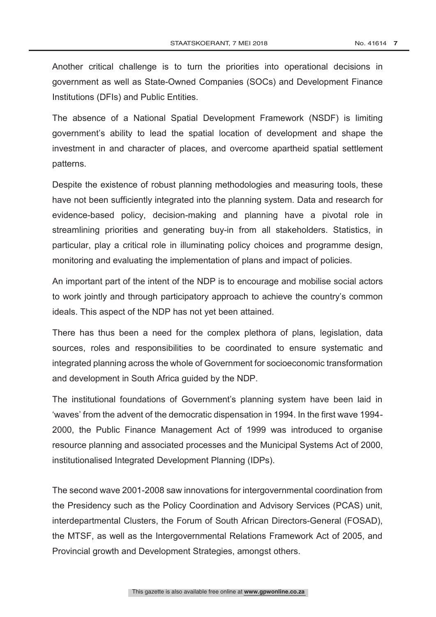Another critical challenge is to turn the priorities into operational decisions in government as well as State-Owned Companies (SOCs) and Development Finance Institutions (DFIs) and Public Entities.

The absence of a National Spatial Development Framework (NSDF) is limiting government's ability to lead the spatial location of development and shape the investment in and character of places, and overcome apartheid spatial settlement patterns.

Despite the existence of robust planning methodologies and measuring tools, these have not been sufficiently integrated into the planning system. Data and research for evidence-based policy, decision-making and planning have a pivotal role in streamlining priorities and generating buy-in from all stakeholders. Statistics, in particular, play a critical role in illuminating policy choices and programme design, monitoring and evaluating the implementation of plans and impact of policies.

An important part of the intent of the NDP is to encourage and mobilise social actors to work jointly and through participatory approach to achieve the country's common ideals. This aspect of the NDP has not yet been attained.

There has thus been a need for the complex plethora of plans, legislation, data sources, roles and responsibilities to be coordinated to ensure systematic and integrated planning across the whole of Government for socioeconomic transformation and development in South Africa guided by the NDP.

The institutional foundations of Government's planning system have been laid in 'waves' from the advent of the democratic dispensation in 1994. In the first wave 1994- 2000, the Public Finance Management Act of 1999 was introduced to organise resource planning and associated processes and the Municipal Systems Act of 2000, institutionalised Integrated Development Planning (IDPs).

The second wave 2001-2008 saw innovations for intergovernmental coordination from the Presidency such as the Policy Coordination and Advisory Services (PCAS) unit, interdepartmental Clusters, the Forum of South African Directors-General (FOSAD), the MTSF, as well as the Intergovernmental Relations Framework Act of 2005, and Provincial growth and Development Strategies, amongst others.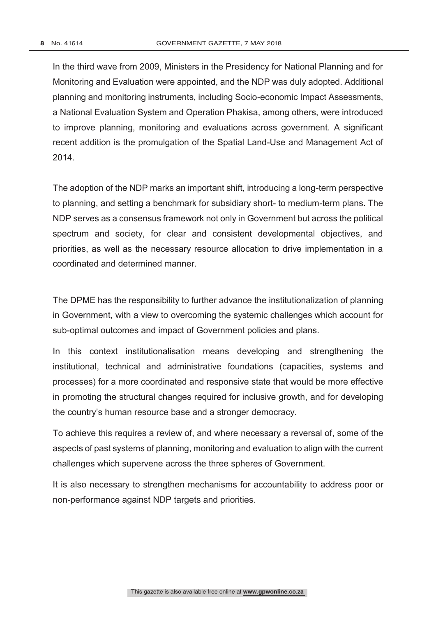In the third wave from 2009, Ministers in the Presidency for National Planning and for Monitoring and Evaluation were appointed, and the NDP was duly adopted. Additional planning and monitoring instruments, including Socio-economic Impact Assessments, a National Evaluation System and Operation Phakisa, among others, were introduced to improve planning, monitoring and evaluations across government. A significant recent addition is the promulgation of the Spatial Land-Use and Management Act of 2014.

The adoption of the NDP marks an important shift, introducing a long-term perspective to planning, and setting a benchmark for subsidiary short- to medium-term plans. The NDP serves as a consensus framework not only in Government but across the political spectrum and society, for clear and consistent developmental objectives, and priorities, as well as the necessary resource allocation to drive implementation in a coordinated and determined manner.

The DPME has the responsibility to further advance the institutionalization of planning in Government, with a view to overcoming the systemic challenges which account for sub-optimal outcomes and impact of Government policies and plans.

In this context institutionalisation means developing and strengthening the institutional, technical and administrative foundations (capacities, systems and processes) for a more coordinated and responsive state that would be more effective in promoting the structural changes required for inclusive growth, and for developing the country's human resource base and a stronger democracy.

To achieve this requires a review of, and where necessary a reversal of, some of the aspects of past systems of planning, monitoring and evaluation to align with the current challenges which supervene across the three spheres of Government.

It is also necessary to strengthen mechanisms for accountability to address poor or non-performance against NDP targets and priorities.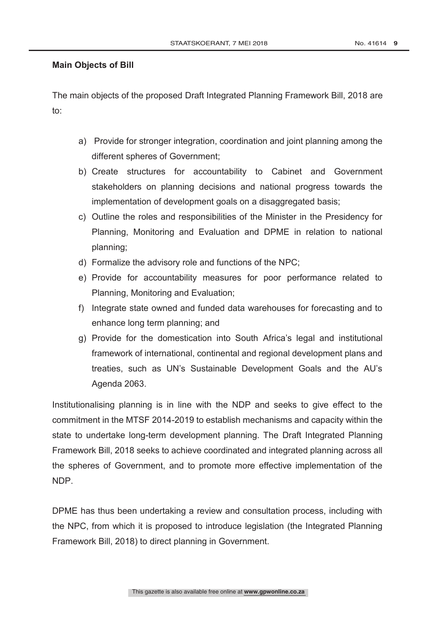### **Main Objects of Bill**

The main objects of the proposed Draft Integrated Planning Framework Bill, 2018 are to:

- a) Provide for stronger integration, coordination and joint planning among the different spheres of Government;
- b) Create structures for accountability to Cabinet and Government stakeholders on planning decisions and national progress towards the implementation of development goals on a disaggregated basis;
- c) Outline the roles and responsibilities of the Minister in the Presidency for Planning, Monitoring and Evaluation and DPME in relation to national planning;
- d) Formalize the advisory role and functions of the NPC;
- e) Provide for accountability measures for poor performance related to Planning, Monitoring and Evaluation;
- f) Integrate state owned and funded data warehouses for forecasting and to enhance long term planning; and
- g) Provide for the domestication into South Africa's legal and institutional framework of international, continental and regional development plans and treaties, such as UN's Sustainable Development Goals and the AU's Agenda 2063.

Institutionalising planning is in line with the NDP and seeks to give effect to the commitment in the MTSF 2014-2019 to establish mechanisms and capacity within the state to undertake long-term development planning. The Draft Integrated Planning Framework Bill, 2018 seeks to achieve coordinated and integrated planning across all the spheres of Government, and to promote more effective implementation of the NDP.

DPME has thus been undertaking a review and consultation process, including with the NPC, from which it is proposed to introduce legislation (the Integrated Planning Framework Bill, 2018) to direct planning in Government.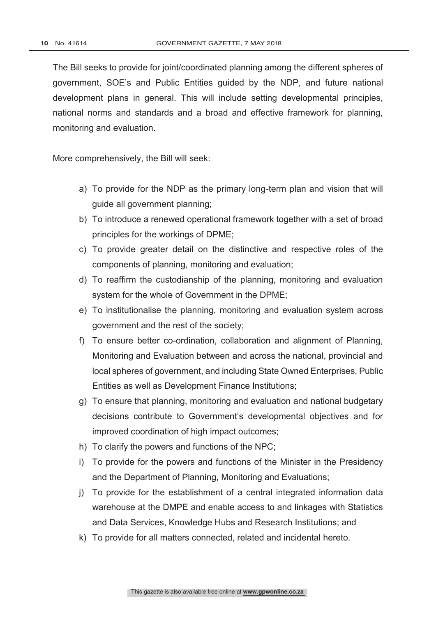The Bill seeks to provide for joint/coordinated planning among the different spheres of government, SOE's and Public Entities guided by the NDP, and future national development plans in general. This will include setting developmental principles, national norms and standards and a broad and effective framework for planning, monitoring and evaluation.

More comprehensively, the Bill will seek:

- a) To provide for the NDP as the primary long-term plan and vision that will guide all government planning;
- b) To introduce a renewed operational framework together with a set of broad principles for the workings of DPME;
- c) To provide greater detail on the distinctive and respective roles of the components of planning, monitoring and evaluation;
- d) To reaffirm the custodianship of the planning, monitoring and evaluation system for the whole of Government in the DPME;
- e) To institutionalise the planning, monitoring and evaluation system across government and the rest of the society;
- f) To ensure better co-ordination, collaboration and alignment of Planning, Monitoring and Evaluation between and across the national, provincial and local spheres of government, and including State Owned Enterprises, Public Entities as well as Development Finance Institutions;
- g) To ensure that planning, monitoring and evaluation and national budgetary decisions contribute to Government's developmental objectives and for improved coordination of high impact outcomes;
- h) To clarify the powers and functions of the NPC;
- i) To provide for the powers and functions of the Minister in the Presidency and the Department of Planning, Monitoring and Evaluations;
- j) To provide for the establishment of a central integrated information data warehouse at the DMPE and enable access to and linkages with Statistics and Data Services, Knowledge Hubs and Research Institutions; and
- k) To provide for all matters connected, related and incidental hereto.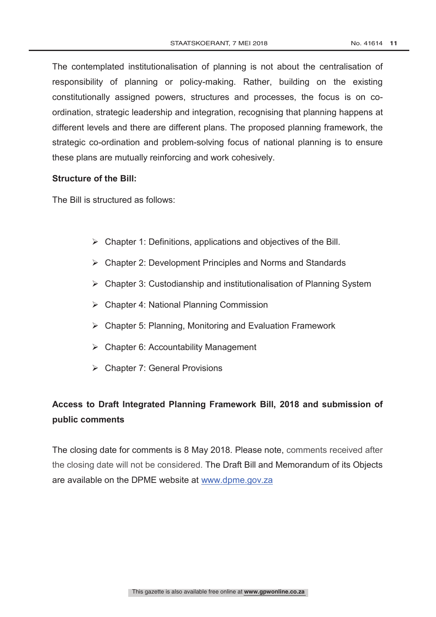The contemplated institutionalisation of planning is not about the centralisation of responsibility of planning or policy-making. Rather, building on the existing constitutionally assigned powers, structures and processes, the focus is on coordination, strategic leadership and integration, recognising that planning happens at different levels and there are different plans. The proposed planning framework, the strategic co-ordination and problem-solving focus of national planning is to ensure these plans are mutually reinforcing and work cohesively.

### **Structure of the Bill:**

The Bill is structured as follows:

- $\triangleright$  Chapter 1: Definitions, applications and objectives of the Bill.
- Chapter 2: Development Principles and Norms and Standards
- Chapter 3: Custodianship and institutionalisation of Planning System
- Chapter 4: National Planning Commission
- Chapter 5: Planning, Monitoring and Evaluation Framework
- $\triangleright$  Chapter 6: Accountability Management
- Chapter 7: General Provisions

# **Access to Draft Integrated Planning Framework Bill, 2018 and submission of public comments**

The closing date for comments is 8 May 2018. Please note, comments received after the closing date will not be considered. The Draft Bill and Memorandum of its Objects are available on the DPME website at www.dpme.gov.za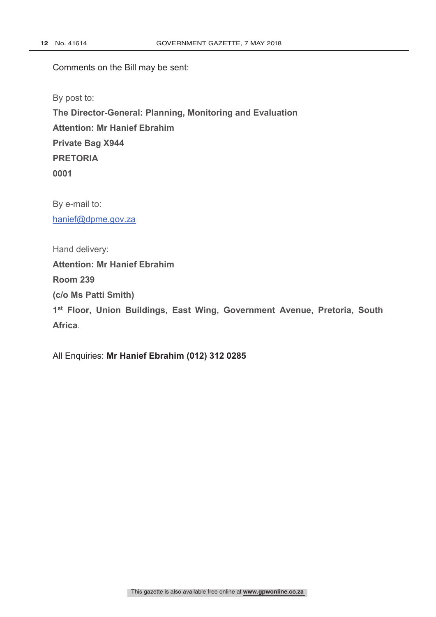Comments on the Bill may be sent:

By post to: **The Director-General: Planning, Monitoring and Evaluation Attention: Mr Hanief Ebrahim Private Bag X944 PRETORIA 0001**

By e-mail to: hanief@dpme.gov.za

Hand delivery: **Attention: Mr Hanief Ebrahim Room 239 (c/o Ms Patti Smith) 1st Floor, Union Buildings, East Wing, Government Avenue, Pretoria, South Africa**.

All Enquiries: **Mr Hanief Ebrahim (012) 312 0285**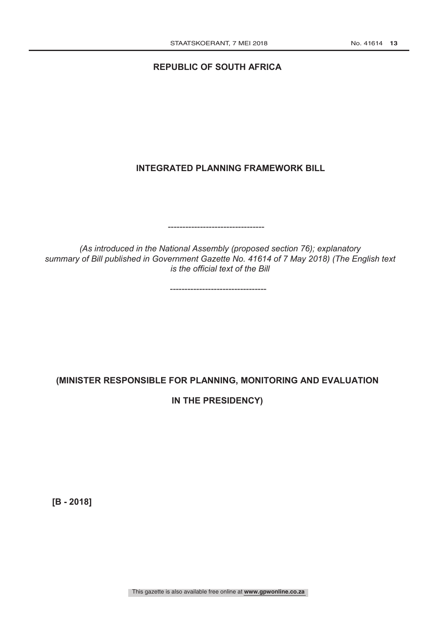### **REPUBLIC OF SOUTH AFRICA**

# **INTEGRATED PLANNING FRAMEWORK BILL**

*(As introduced in the National Assembly (proposed section 76); explanatory summary of Bill published in Government Gazette No. 41614 of 7 May 2018) (The English text is the official text of the Bill*

---------------------------------

---------------------------------

# **(MINISTER RESPONSIBLE FOR PLANNING, MONITORING AND EVALUATION**

**IN THE PRESIDENCY)** 

**[B - 2018]**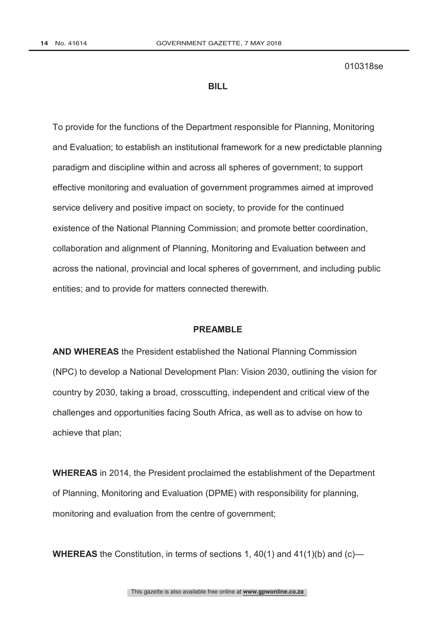010318se

#### **BILL**

To provide for the functions of the Department responsible for Planning, Monitoring and Evaluation; to establish an institutional framework for a new predictable planning paradigm and discipline within and across all spheres of government; to support effective monitoring and evaluation of government programmes aimed at improved service delivery and positive impact on society, to provide for the continued existence of the National Planning Commission; and promote better coordination, collaboration and alignment of Planning, Monitoring and Evaluation between and across the national, provincial and local spheres of government, and including public entities; and to provide for matters connected therewith.

#### **PREAMBLE**

**AND WHEREAS** the President established the National Planning Commission (NPC) to develop a National Development Plan: Vision 2030, outlining the vision for country by 2030, taking a broad, crosscutting, independent and critical view of the challenges and opportunities facing South Africa, as well as to advise on how to achieve that plan;

**WHEREAS** in 2014, the President proclaimed the establishment of the Department of Planning, Monitoring and Evaluation (DPME) with responsibility for planning, monitoring and evaluation from the centre of government;

**WHEREAS** the Constitution, in terms of sections 1, 40(1) and 41(1)(b) and (c)—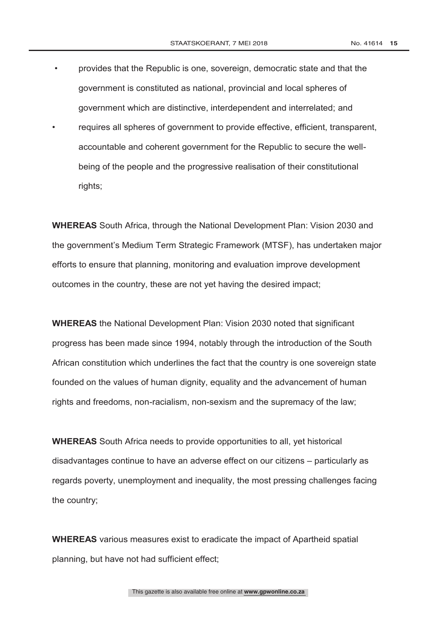- provides that the Republic is one, sovereign, democratic state and that the government is constituted as national, provincial and local spheres of government which are distinctive, interdependent and interrelated; and
- requires all spheres of government to provide effective, efficient, transparent, accountable and coherent government for the Republic to secure the wellbeing of the people and the progressive realisation of their constitutional rights;

**WHEREAS** South Africa, through the National Development Plan: Vision 2030 and the government's Medium Term Strategic Framework (MTSF), has undertaken major efforts to ensure that planning, monitoring and evaluation improve development outcomes in the country, these are not yet having the desired impact;

**WHEREAS** the National Development Plan: Vision 2030 noted that significant progress has been made since 1994, notably through the introduction of the South African constitution which underlines the fact that the country is one sovereign state founded on the values of human dignity, equality and the advancement of human rights and freedoms, non-racialism, non-sexism and the supremacy of the law;

**WHEREAS** South Africa needs to provide opportunities to all, yet historical disadvantages continue to have an adverse effect on our citizens – particularly as regards poverty, unemployment and inequality, the most pressing challenges facing the country;

**WHEREAS** various measures exist to eradicate the impact of Apartheid spatial planning, but have not had sufficient effect;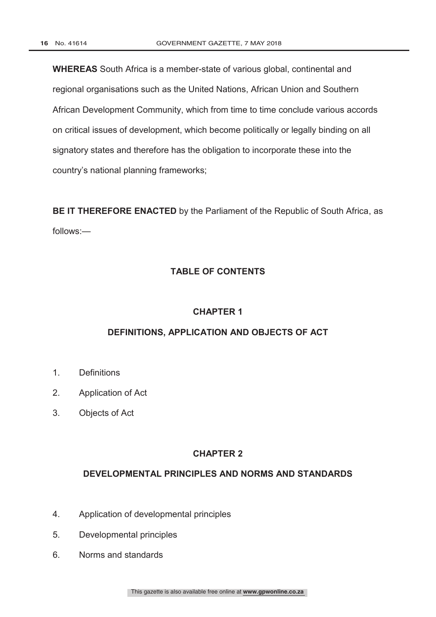**WHEREAS** South Africa is a member-state of various global, continental and regional organisations such as the United Nations, African Union and Southern African Development Community, which from time to time conclude various accords on critical issues of development, which become politically or legally binding on all signatory states and therefore has the obligation to incorporate these into the country's national planning frameworks;

**BE IT THEREFORE ENACTED** by the Parliament of the Republic of South Africa, as follows:—

## **TABLE OF CONTENTS**

### **CHAPTER 1**

### **DEFINITIONS, APPLICATION AND OBJECTS OF ACT**

- 1. Definitions
- 2. Application of Act
- 3. Objects of Act

## **CHAPTER 2**

### **DEVELOPMENTAL PRINCIPLES AND NORMS AND STANDARDS**

- 4. Application of developmental principles
- 5. Developmental principles
- 6. Norms and standards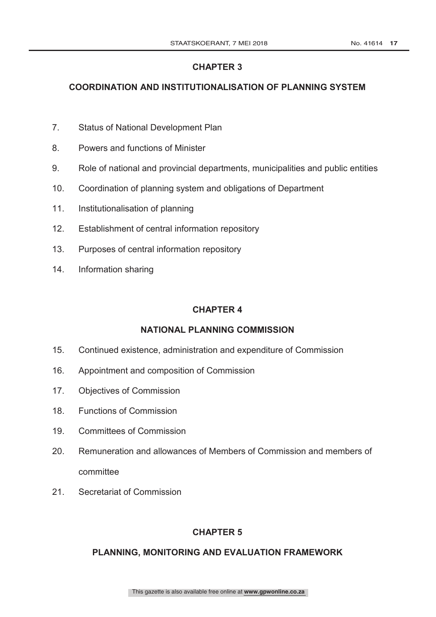# **COORDINATION AND INSTITUTIONALISATION OF PLANNING SYSTEM**

- 7. Status of National Development Plan
- 8. Powers and functions of Minister
- 9. Role of national and provincial departments, municipalities and public entities
- 10. Coordination of planning system and obligations of Department
- 11. Institutionalisation of planning
- 12. Establishment of central information repository
- 13. Purposes of central information repository
- 14. Information sharing

# **CHAPTER 4**

# **NATIONAL PLANNING COMMISSION**

- 15. Continued existence, administration and expenditure of Commission
- 16. Appointment and composition of Commission
- 17. Objectives of Commission
- 18. Functions of Commission
- 19. Committees of Commission
- 20. Remuneration and allowances of Members of Commission and members of committee
- 21. Secretariat of Commission

# **CHAPTER 5**

# **PLANNING, MONITORING AND EVALUATION FRAMEWORK**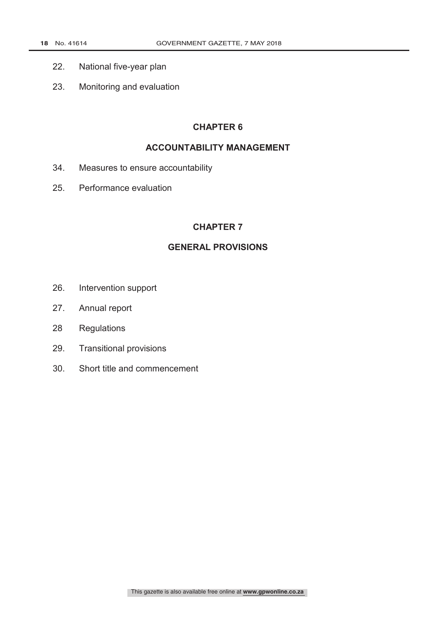- 22. National five-year plan
- 23. Monitoring and evaluation

### **ACCOUNTABILITY MANAGEMENT**

- 34. Measures to ensure accountability
- 25. Performance evaluation

### **CHAPTER 7**

## **GENERAL PROVISIONS**

- 26. Intervention support
- 27. Annual report
- 28 Regulations
- 29. Transitional provisions
- 30. Short title and commencement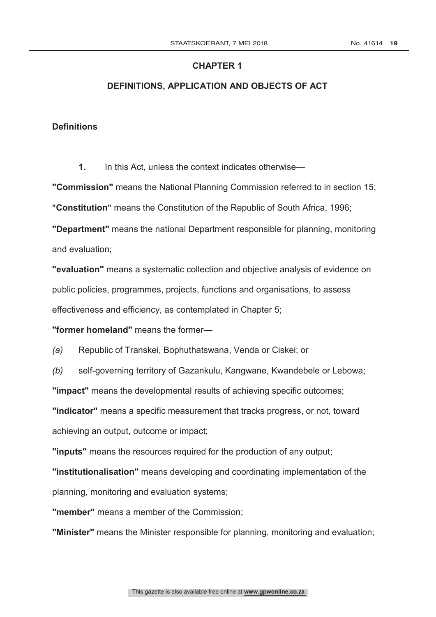### **DEFINITIONS, APPLICATION AND OBJECTS OF ACT**

### **Definitions**

**1.** In this Act, unless the context indicates otherwise—

**"Commission"** means the National Planning Commission referred to in section 15;

**"Constitution"** means the Constitution of the Republic of South Africa, 1996;

**"Department"** means the national Department responsible for planning, monitoring and evaluation;

**"evaluation"** means a systematic collection and objective analysis of evidence on public policies, programmes, projects, functions and organisations, to assess effectiveness and efficiency, as contemplated in Chapter 5;

**"former homeland"** means the former—

*(a)* Republic of Transkei, Bophuthatswana, Venda or Ciskei; or

*(b)* self-governing territory of Gazankulu, Kangwane, Kwandebele or Lebowa;

**"impact"** means the developmental results of achieving specific outcomes;

**"indicator"** means a specific measurement that tracks progress, or not, toward achieving an output, outcome or impact;

**"inputs"** means the resources required for the production of any output;

**"institutionalisation"** means developing and coordinating implementation of the planning, monitoring and evaluation systems;

**"member"** means a member of the Commission;

**"Minister"** means the Minister responsible for planning, monitoring and evaluation;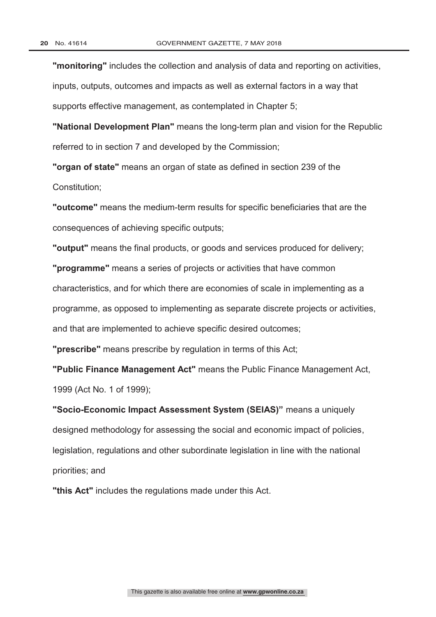**"monitoring"** includes the collection and analysis of data and reporting on activities, inputs, outputs, outcomes and impacts as well as external factors in a way that supports effective management, as contemplated in Chapter 5;

**"National Development Plan"** means the long-term plan and vision for the Republic referred to in section 7 and developed by the Commission;

**"organ of state"** means an organ of state as defined in section 239 of the Constitution;

**"outcome"** means the medium-term results for specific beneficiaries that are the consequences of achieving specific outputs;

**"output"** means the final products, or goods and services produced for delivery;

**"programme"** means a series of projects or activities that have common characteristics, and for which there are economies of scale in implementing as a programme, as opposed to implementing as separate discrete projects or activities, and that are implemented to achieve specific desired outcomes;

**"prescribe"** means prescribe by regulation in terms of this Act;

**"Public Finance Management Act"** means the Public Finance Management Act, 1999 (Act No. 1 of 1999);

**"Socio-Economic Impact Assessment System (SEIAS)"** means a uniquely designed methodology for assessing the social and economic impact of policies, legislation, regulations and other subordinate legislation in line with the national priorities; and

**"this Act"** includes the regulations made under this Act.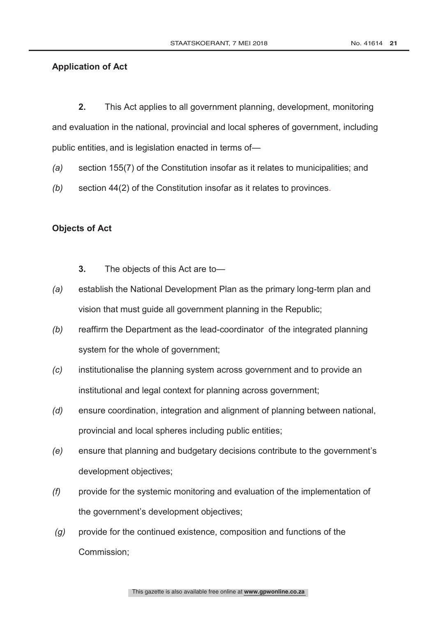## **Application of Act**

**2.** This Act applies to all government planning, development, monitoring and evaluation in the national, provincial and local spheres of government, including public entities, and is legislation enacted in terms of—

- *(a)* section 155(7) of the Constitution insofar as it relates to municipalities; and
- *(b)* section 44(2) of the Constitution insofar as it relates to provinces.

## **Objects of Act**

- **3.** The objects of this Act are to—
- *(a)* establish the National Development Plan as the primary long-term plan and vision that must guide all government planning in the Republic;
- *(b)* reaffirm the Department as the lead-coordinator of the integrated planning system for the whole of government;
- *(c)* institutionalise the planning system across government and to provide an institutional and legal context for planning across government;
- *(d)* ensure coordination, integration and alignment of planning between national, provincial and local spheres including public entities;
- *(e)* ensure that planning and budgetary decisions contribute to the government's development objectives;
- *(f)* provide for the systemic monitoring and evaluation of the implementation of the government's development objectives;
- *(g)* provide for the continued existence, composition and functions of the Commission;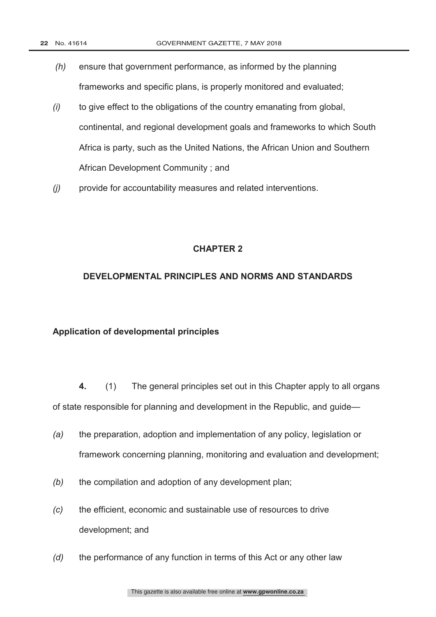- *(h)* ensure that government performance, as informed by the planning frameworks and specific plans, is properly monitored and evaluated;
- *(i)* to give effect to the obligations of the country emanating from global, continental, and regional development goals and frameworks to which South Africa is party, such as the United Nations, the African Union and Southern African Development Community ; and
- *(j)* provide for accountability measures and related interventions.

### **DEVELOPMENTAL PRINCIPLES AND NORMS AND STANDARDS**

#### **Application of developmental principles**

**4.** (1) The general principles set out in this Chapter apply to all organs of state responsible for planning and development in the Republic, and guide—

- *(a)* the preparation, adoption and implementation of any policy, legislation or framework concerning planning, monitoring and evaluation and development;
- *(b)* the compilation and adoption of any development plan;
- *(c)* the efficient, economic and sustainable use of resources to drive development; and
- *(d)* the performance of any function in terms of this Act or any other law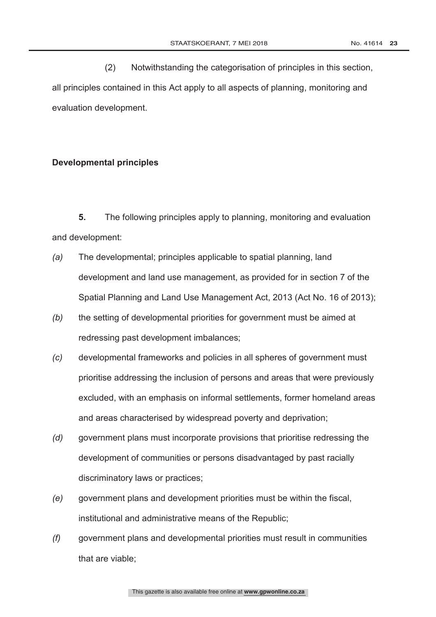(2) Notwithstanding the categorisation of principles in this section, all principles contained in this Act apply to all aspects of planning, monitoring and evaluation development.

### **Developmental principles**

**5.** The following principles apply to planning, monitoring and evaluation and development:

- *(a)* The developmental; principles applicable to spatial planning, land development and land use management, as provided for in section 7 of the Spatial Planning and Land Use Management Act, 2013 (Act No. 16 of 2013);
- *(b)* the setting of developmental priorities for government must be aimed at redressing past development imbalances;
- *(c)* developmental frameworks and policies in all spheres of government must prioritise addressing the inclusion of persons and areas that were previously excluded, with an emphasis on informal settlements, former homeland areas and areas characterised by widespread poverty and deprivation;
- *(d)* government plans must incorporate provisions that prioritise redressing the development of communities or persons disadvantaged by past racially discriminatory laws or practices;
- *(e)* government plans and development priorities must be within the fiscal, institutional and administrative means of the Republic;
- *(f)* government plans and developmental priorities must result in communities that are viable;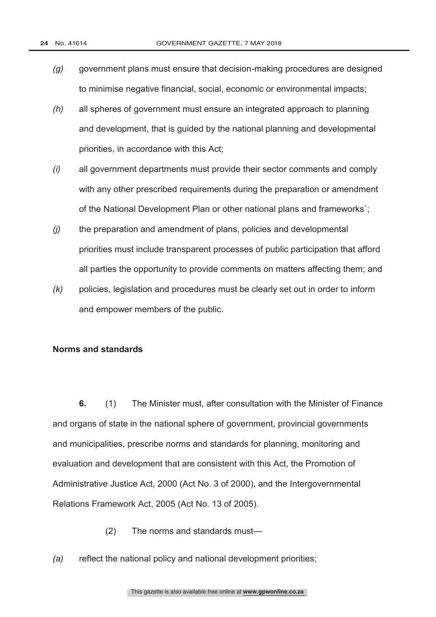- *(g)* government plans must ensure that decision-making procedures are designed to minimise negative financial, social, economic or environmental impacts;
- *(h)* all spheres of government must ensure an integrated approach to planning and development, that is guided by the national planning and developmental priorities, in accordance with this Act;
- *(i)* all government departments must provide their sector comments and comply with any other prescribed requirements during the preparation or amendment of the National Development Plan or other national plans and frameworks`;
- *(j)* the preparation and amendment of plans, policies and developmental priorities must include transparent processes of public participation that afford all parties the opportunity to provide comments on matters affecting them; and
- *(k)* policies, legislation and procedures must be clearly set out in order to inform and empower members of the public.

### **Norms and standards**

**6.** (1) The Minister must, after consultation with the Minister of Finance and organs of state in the national sphere of government, provincial governments and municipalities, prescribe norms and standards for planning, monitoring and evaluation and development that are consistent with this Act, the Promotion of Administrative Justice Act, 2000 (Act No. 3 of 2000), and the Intergovernmental Relations Framework Act, 2005 (Act No. 13 of 2005).

- (2) The norms and standards must—
- *(a)* reflect the national policy and national development priorities;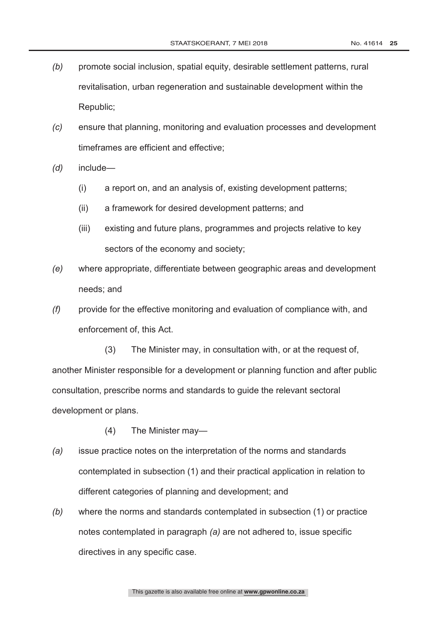- *(b)* promote social inclusion, spatial equity, desirable settlement patterns, rural revitalisation, urban regeneration and sustainable development within the Republic;
- *(c)* ensure that planning, monitoring and evaluation processes and development timeframes are efficient and effective;
- *(d)* include—
	- (i) a report on, and an analysis of, existing development patterns;
	- (ii) a framework for desired development patterns; and
	- (iii) existing and future plans, programmes and projects relative to key sectors of the economy and society;
- *(e)* where appropriate, differentiate between geographic areas and development needs; and
- *(f)* provide for the effective monitoring and evaluation of compliance with, and enforcement of, this Act.

(3) The Minister may, in consultation with, or at the request of, another Minister responsible for a development or planning function and after public consultation, prescribe norms and standards to guide the relevant sectoral development or plans.

- (4) The Minister may—
- *(a)* issue practice notes on the interpretation of the norms and standards contemplated in subsection (1) and their practical application in relation to different categories of planning and development; and
- *(b)* where the norms and standards contemplated in subsection (1) or practice notes contemplated in paragraph *(a)* are not adhered to, issue specific directives in any specific case.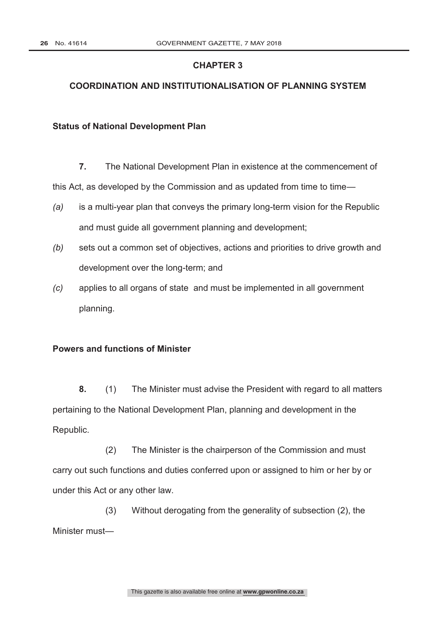## **COORDINATION AND INSTITUTIONALISATION OF PLANNING SYSTEM**

#### **Status of National Development Plan**

**7.** The National Development Plan in existence at the commencement of

*(a)* is a multi-year plan that conveys the primary long-term vision for the Republic and must guide all government planning and development;

this Act, as developed by the Commission and as updated from time to time—

- *(b)* sets out a common set of objectives, actions and priorities to drive growth and development over the long-term; and
- *(c)* applies to all organs of state and must be implemented in all government planning.

### **Powers and functions of Minister**

**8.** (1) The Minister must advise the President with regard to all matters pertaining to the National Development Plan, planning and development in the Republic.

(2) The Minister is the chairperson of the Commission and must carry out such functions and duties conferred upon or assigned to him or her by or under this Act or any other law.

(3) Without derogating from the generality of subsection (2), the Minister must—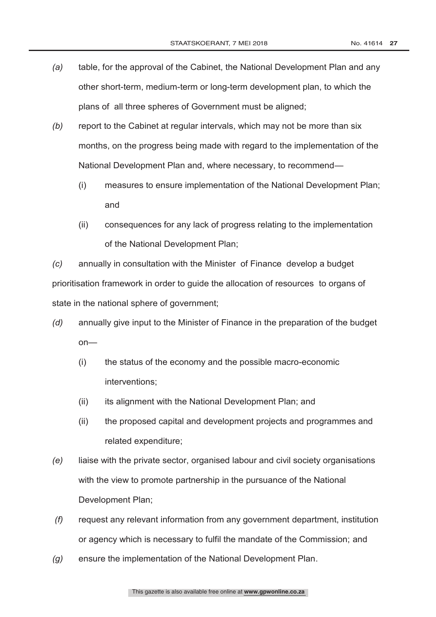- *(a)* table, for the approval of the Cabinet, the National Development Plan and any other short-term, medium-term or long-term development plan, to which the plans of all three spheres of Government must be aligned;
- *(b)* report to the Cabinet at regular intervals, which may not be more than six months, on the progress being made with regard to the implementation of the National Development Plan and, where necessary, to recommend—
	- (i) measures to ensure implementation of the National Development Plan; and
	- (ii) consequences for any lack of progress relating to the implementation of the National Development Plan;

*(c)* annually in consultation with the Minister of Finance develop a budget prioritisation framework in order to guide the allocation of resources to organs of state in the national sphere of government:

- *(d)* annually give input to the Minister of Finance in the preparation of the budget on—
	- (i) the status of the economy and the possible macro-economic interventions;
	- (ii) its alignment with the National Development Plan; and
	- (ii) the proposed capital and development projects and programmes and related expenditure;
- *(e)* liaise with the private sector, organised labour and civil society organisations with the view to promote partnership in the pursuance of the National Development Plan;
- *(f)* request any relevant information from any government department, institution or agency which is necessary to fulfil the mandate of the Commission; and
- *(g)* ensure the implementation of the National Development Plan.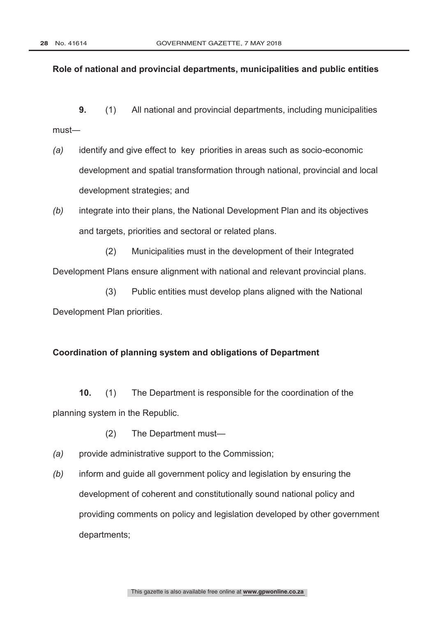### **Role of national and provincial departments, municipalities and public entities**

**9.** (1) All national and provincial departments, including municipalities must―

- *(a)* identify and give effect to key priorities in areas such as socio-economic development and spatial transformation through national, provincial and local development strategies; and
- *(b)* integrate into their plans, the National Development Plan and its objectives and targets, priorities and sectoral or related plans.
- (2) Municipalities must in the development of their Integrated Development Plans ensure alignment with national and relevant provincial plans.

(3) Public entities must develop plans aligned with the National Development Plan priorities.

### **Coordination of planning system and obligations of Department**

**10.** (1) The Department is responsible for the coordination of the planning system in the Republic.

- (2) The Department must—
- *(a)* provide administrative support to the Commission;
- *(b)* inform and guide all government policy and legislation by ensuring the development of coherent and constitutionally sound national policy and providing comments on policy and legislation developed by other government departments;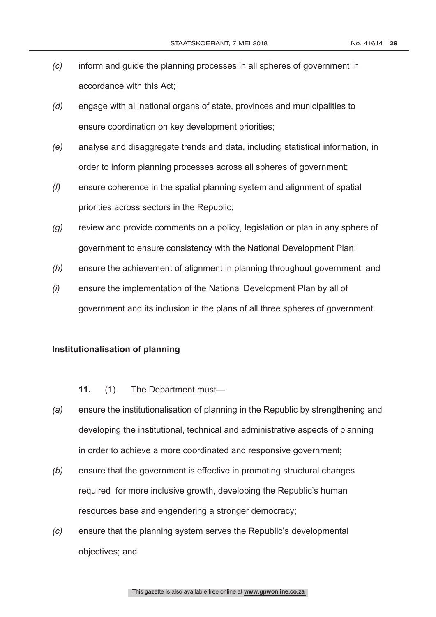- *(c)* inform and guide the planning processes in all spheres of government in accordance with this Act;
- *(d)* engage with all national organs of state, provinces and municipalities to ensure coordination on key development priorities;
- *(e)* analyse and disaggregate trends and data, including statistical information, in order to inform planning processes across all spheres of government;
- *(f)* ensure coherence in the spatial planning system and alignment of spatial priorities across sectors in the Republic;
- *(g)* review and provide comments on a policy, legislation or plan in any sphere of government to ensure consistency with the National Development Plan;
- *(h)* ensure the achievement of alignment in planning throughout government; and
- *(i)* ensure the implementation of the National Development Plan by all of government and its inclusion in the plans of all three spheres of government.

### **Institutionalisation of planning**

**11.** (1) The Department must—

- *(a)* ensure the institutionalisation of planning in the Republic by strengthening and developing the institutional, technical and administrative aspects of planning in order to achieve a more coordinated and responsive government;
- *(b)* ensure that the government is effective in promoting structural changes required for more inclusive growth, developing the Republic's human resources base and engendering a stronger democracy;
- *(c)* ensure that the planning system serves the Republic's developmental objectives; and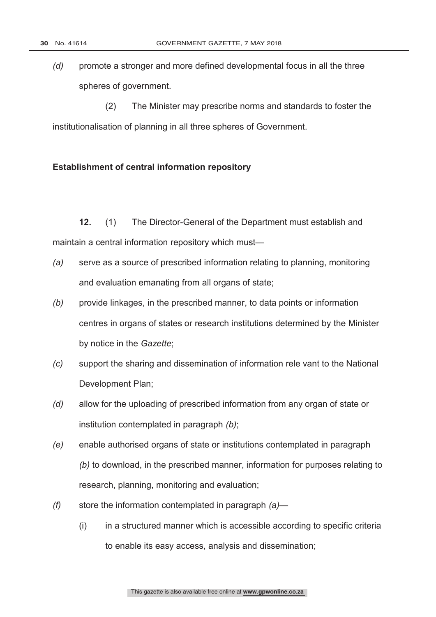*(d)* promote a stronger and more defined developmental focus in all the three spheres of government.

(2) The Minister may prescribe norms and standards to foster the institutionalisation of planning in all three spheres of Government.

### **Establishment of central information repository**

**12.** (1) The Director-General of the Department must establish and maintain a central information repository which must—

- *(a)* serve as a source of prescribed information relating to planning, monitoring and evaluation emanating from all organs of state;
- *(b)* provide linkages, in the prescribed manner, to data points or information centres in organs of states or research institutions determined by the Minister by notice in the *Gazette*;
- *(c)* support the sharing and dissemination of information rele vant to the National Development Plan;
- *(d)* allow for the uploading of prescribed information from any organ of state or institution contemplated in paragraph *(b)*;
- *(e)* enable authorised organs of state or institutions contemplated in paragraph *(b)* to download, in the prescribed manner, information for purposes relating to research, planning, monitoring and evaluation;
- *(f)* store the information contemplated in paragraph *(a)*
	- (i) in a structured manner which is accessible according to specific criteria to enable its easy access, analysis and dissemination;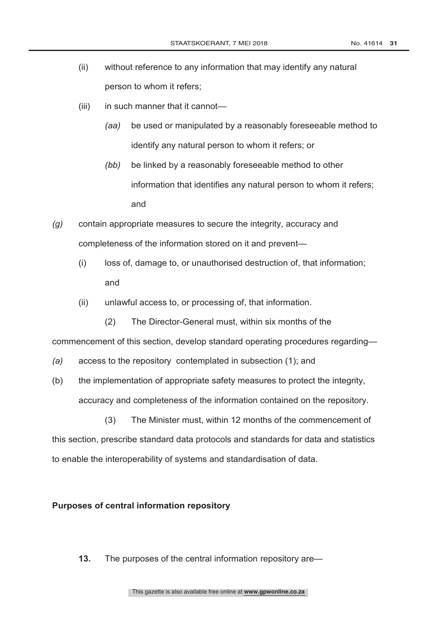- (ii) without reference to any information that may identify any natural person to whom it refers;
- (iii) in such manner that it cannot—
	- *(aa)* be used or manipulated by a reasonably foreseeable method to identify any natural person to whom it refers; or
	- *(bb)* be linked by a reasonably foreseeable method to other information that identifies any natural person to whom it refers; and
- *(g)* contain appropriate measures to secure the integrity, accuracy and completeness of the information stored on it and prevent—
	- (i) loss of, damage to, or unauthorised destruction of, that information; and
	- (ii) unlawful access to, or processing of, that information.
		- (2) The Director-General must, within six months of the

commencement of this section, develop standard operating procedures regarding—

- *(a)* access to the repository contemplated in subsection (1); and
- (b) the implementation of appropriate safety measures to protect the integrity, accuracy and completeness of the information contained on the repository.

(3) The Minister must, within 12 months of the commencement of this section, prescribe standard data protocols and standards for data and statistics to enable the interoperability of systems and standardisation of data.

#### **Purposes of central information repository**

**13.** The purposes of the central information repository are—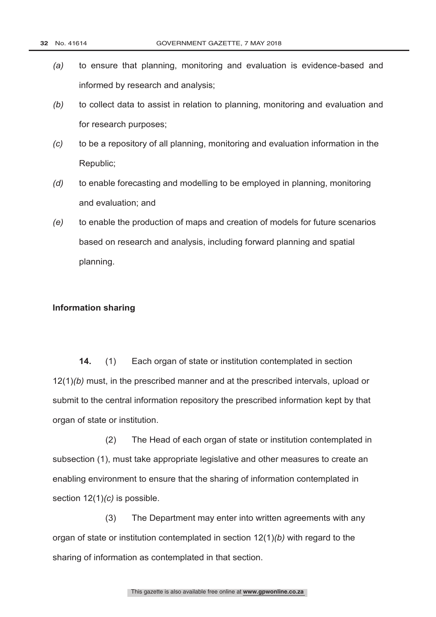- *(a)* to ensure that planning, monitoring and evaluation is evidence-based and informed by research and analysis;
- *(b)* to collect data to assist in relation to planning, monitoring and evaluation and for research purposes;
- *(c)* to be a repository of all planning, monitoring and evaluation information in the Republic;
- *(d)* to enable forecasting and modelling to be employed in planning, monitoring and evaluation; and
- *(e)* to enable the production of maps and creation of models for future scenarios based on research and analysis, including forward planning and spatial planning.

#### **Information sharing**

**14.** (1) Each organ of state or institution contemplated in section 12(1)*(b)* must, in the prescribed manner and at the prescribed intervals, upload or submit to the central information repository the prescribed information kept by that organ of state or institution.

(2) The Head of each organ of state or institution contemplated in subsection (1), must take appropriate legislative and other measures to create an enabling environment to ensure that the sharing of information contemplated in section 12(1)*(c)* is possible.

(3) The Department may enter into written agreements with any organ of state or institution contemplated in section 12(1)*(b)* with regard to the sharing of information as contemplated in that section.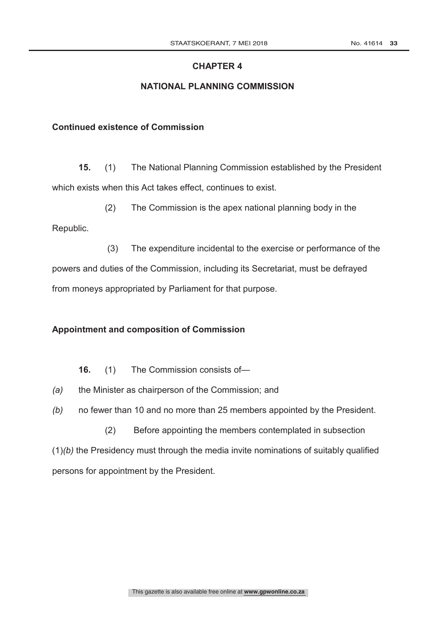### **NATIONAL PLANNING COMMISSION**

### **Continued existence of Commission**

**15.** (1) The National Planning Commission established by the President which exists when this Act takes effect, continues to exist.

(2) The Commission is the apex national planning body in the Republic.

(3) The expenditure incidental to the exercise or performance of the powers and duties of the Commission, including its Secretariat, must be defrayed from moneys appropriated by Parliament for that purpose.

### **Appointment and composition of Commission**

**16.** (1) The Commission consists of—

- *(a)* the Minister as chairperson of the Commission; and
- *(b)* no fewer than 10 and no more than 25 members appointed by the President.

(2) Before appointing the members contemplated in subsection (1)*(b)* the Presidency must through the media invite nominations of suitably qualified persons for appointment by the President.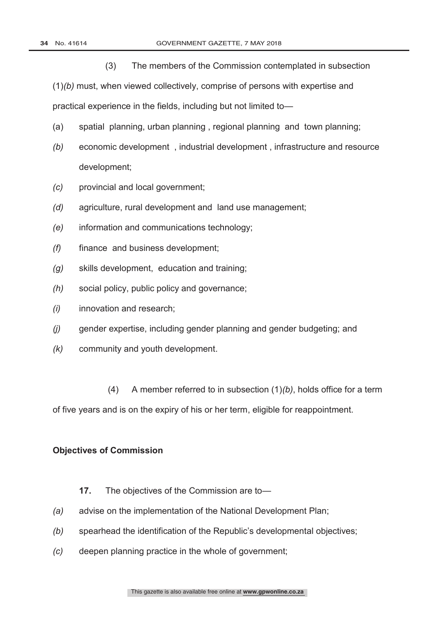(3) The members of the Commission contemplated in subsection

(1)*(b)* must, when viewed collectively, comprise of persons with expertise and practical experience in the fields, including but not limited to—

- (a) spatial planning, urban planning , regional planning and town planning;
- *(b)* economic development , industrial development , infrastructure and resource development;
- *(c)* provincial and local government;
- *(d)* agriculture, rural development and land use management;
- *(e)* information and communications technology;
- *(f)* finance and business development;
- *(g)* skills development, education and training;
- *(h)* social policy, public policy and governance;
- *(i)* innovation and research;
- *(j)* gender expertise, including gender planning and gender budgeting; and
- *(k)* community and youth development.
- (4) A member referred to in subsection (1)*(b)*, holds office for a term of five years and is on the expiry of his or her term, eligible for reappointment.

#### **Objectives of Commission**

- **17.** The objectives of the Commission are to—
- *(a)* advise on the implementation of the National Development Plan;
- *(b)* spearhead the identification of the Republic's developmental objectives;
- *(c)* deepen planning practice in the whole of government;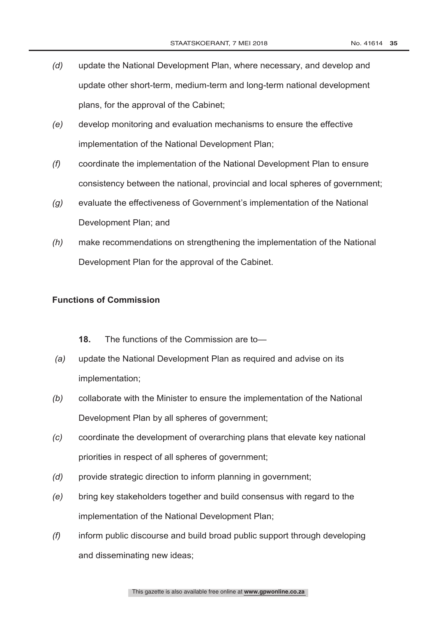- *(d)* update the National Development Plan, where necessary, and develop and update other short-term, medium-term and long-term national development plans, for the approval of the Cabinet;
- *(e)* develop monitoring and evaluation mechanisms to ensure the effective implementation of the National Development Plan;
- *(f)* coordinate the implementation of the National Development Plan to ensure consistency between the national, provincial and local spheres of government;
- *(g)* evaluate the effectiveness of Government's implementation of the National Development Plan; and
- *(h)* make recommendations on strengthening the implementation of the National Development Plan for the approval of the Cabinet.

### **Functions of Commission**

- **18.** The functions of the Commission are to—
- *(a)* update the National Development Plan as required and advise on its implementation;
- *(b)* collaborate with the Minister to ensure the implementation of the National Development Plan by all spheres of government;
- *(c)* coordinate the development of overarching plans that elevate key national priorities in respect of all spheres of government;
- *(d)* provide strategic direction to inform planning in government;
- *(e)* bring key stakeholders together and build consensus with regard to the implementation of the National Development Plan;
- *(f)* inform public discourse and build broad public support through developing and disseminating new ideas;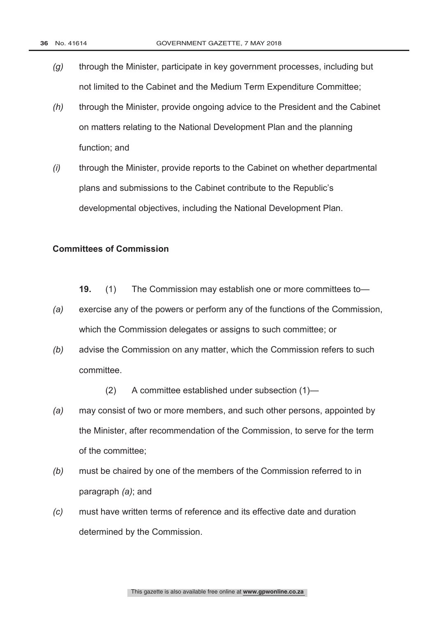- *(g)* through the Minister, participate in key government processes, including but not limited to the Cabinet and the Medium Term Expenditure Committee;
- *(h)* through the Minister, provide ongoing advice to the President and the Cabinet on matters relating to the National Development Plan and the planning function; and
- *(i)* through the Minister, provide reports to the Cabinet on whether departmental plans and submissions to the Cabinet contribute to the Republic's developmental objectives, including the National Development Plan.

### **Committees of Commission**

- **19.** (1) The Commission may establish one or more committees to—
- *(a)* exercise any of the powers or perform any of the functions of the Commission, which the Commission delegates or assigns to such committee; or
- *(b)* advise the Commission on any matter, which the Commission refers to such committee.
	- (2) A committee established under subsection (1)—
- *(a)* may consist of two or more members, and such other persons, appointed by the Minister, after recommendation of the Commission, to serve for the term of the committee;
- *(b)* must be chaired by one of the members of the Commission referred to in paragraph *(a)*; and
- *(c)* must have written terms of reference and its effective date and duration determined by the Commission.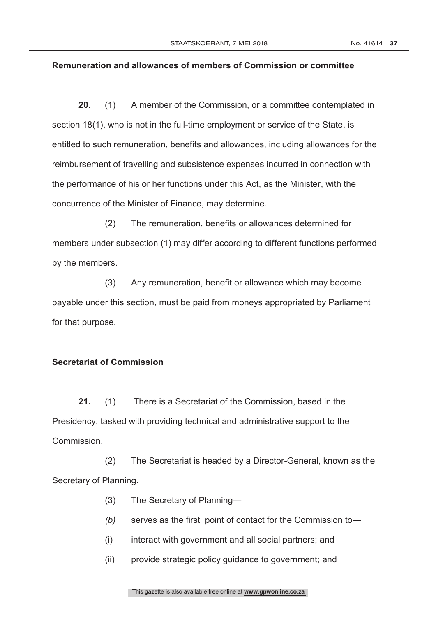#### **Remuneration and allowances of members of Commission or committee**

**20.** (1) A member of the Commission, or a committee contemplated in section 18(1), who is not in the full-time employment or service of the State, is entitled to such remuneration, benefits and allowances, including allowances for the reimbursement of travelling and subsistence expenses incurred in connection with the performance of his or her functions under this Act, as the Minister, with the concurrence of the Minister of Finance, may determine.

(2) The remuneration, benefits or allowances determined for members under subsection (1) may differ according to different functions performed by the members.

(3) Any remuneration, benefit or allowance which may become payable under this section, must be paid from moneys appropriated by Parliament for that purpose.

### **Secretariat of Commission**

**21.** (1) There is a Secretariat of the Commission, based in the Presidency, tasked with providing technical and administrative support to the **Commission** 

(2) The Secretariat is headed by a Director-General, known as the Secretary of Planning.

- (3) The Secretary of Planning―
- *(b)* serves as the first point of contact for the Commission to―
- (i) interact with government and all social partners; and
- (ii) provide strategic policy guidance to government; and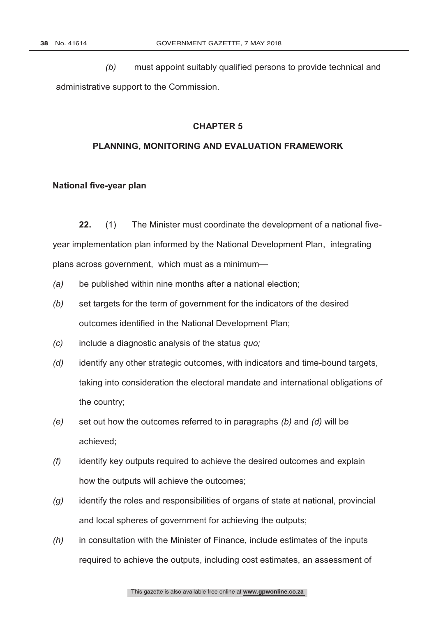*(b)* must appoint suitably qualified persons to provide technical and administrative support to the Commission.

### **CHAPTER 5**

### **PLANNING, MONITORING AND EVALUATION FRAMEWORK**

#### **National five-year plan**

**22.** (1) The Minister must coordinate the development of a national fiveyear implementation plan informed by the National Development Plan, integrating plans across government, which must as a minimum—

- *(a)* be published within nine months after a national election;
- *(b)* set targets for the term of government for the indicators of the desired outcomes identified in the National Development Plan;
- *(c)* include a diagnostic analysis of the status *quo;*
- *(d)* identify any other strategic outcomes, with indicators and time-bound targets, taking into consideration the electoral mandate and international obligations of the country;
- *(e)* set out how the outcomes referred to in paragraphs *(b)* and *(d)* will be achieved;
- *(f)* identify key outputs required to achieve the desired outcomes and explain how the outputs will achieve the outcomes;
- *(g)* identify the roles and responsibilities of organs of state at national, provincial and local spheres of government for achieving the outputs;
- *(h)* in consultation with the Minister of Finance, include estimates of the inputs required to achieve the outputs, including cost estimates, an assessment of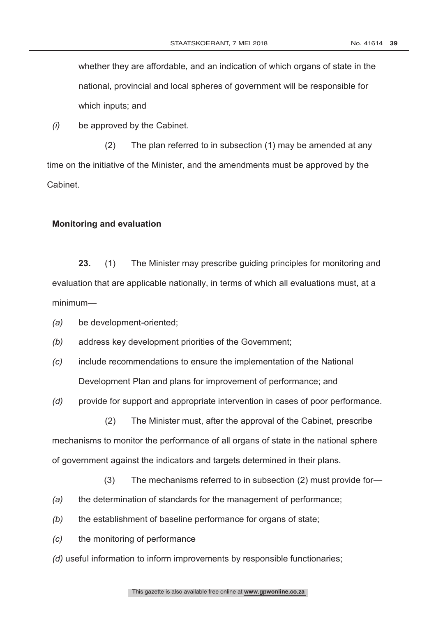whether they are affordable, and an indication of which organs of state in the national, provincial and local spheres of government will be responsible for which inputs; and

*(i)* be approved by the Cabinet.

(2) The plan referred to in subsection (1) may be amended at any time on the initiative of the Minister, and the amendments must be approved by the Cabinet.

#### **Monitoring and evaluation**

**23.** (1) The Minister may prescribe guiding principles for monitoring and evaluation that are applicable nationally, in terms of which all evaluations must, at a minimum—

*(a)* be development-oriented;

- *(b)* address key development priorities of the Government;
- *(c)* include recommendations to ensure the implementation of the National Development Plan and plans for improvement of performance; and

*(d)* provide for support and appropriate intervention in cases of poor performance.

(2) The Minister must, after the approval of the Cabinet, prescribe mechanisms to monitor the performance of all organs of state in the national sphere of government against the indicators and targets determined in their plans.

- (3) The mechanisms referred to in subsection (2) must provide for—
- *(a)* the determination of standards for the management of performance;
- *(b)* the establishment of baseline performance for organs of state;
- *(c)* the monitoring of performance
- *(d)* useful information to inform improvements by responsible functionaries;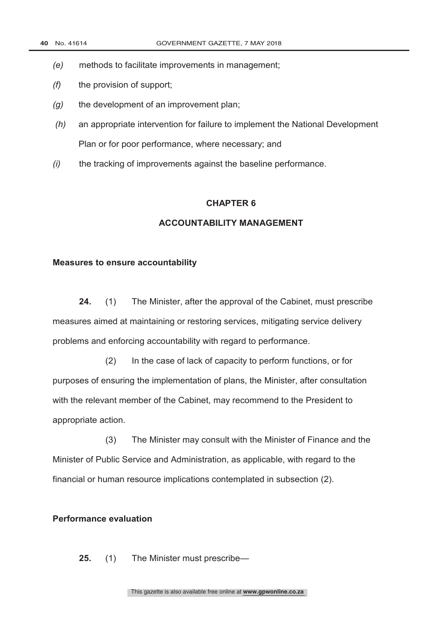- *(e)* methods to facilitate improvements in management;
- *(f)* the provision of support;
- *(g)* the development of an improvement plan;
- *(h)* an appropriate intervention for failure to implement the National Development Plan or for poor performance, where necessary; and
- *(i)* the tracking of improvements against the baseline performance.

### **ACCOUNTABILITY MANAGEMENT**

#### **Measures to ensure accountability**

**24.** (1) The Minister, after the approval of the Cabinet, must prescribe measures aimed at maintaining or restoring services, mitigating service delivery problems and enforcing accountability with regard to performance.

(2) In the case of lack of capacity to perform functions, or for purposes of ensuring the implementation of plans, the Minister, after consultation with the relevant member of the Cabinet, may recommend to the President to appropriate action.

(3) The Minister may consult with the Minister of Finance and the Minister of Public Service and Administration, as applicable, with regard to the financial or human resource implications contemplated in subsection (2).

### **Performance evaluation**

**25.** (1) The Minister must prescribe—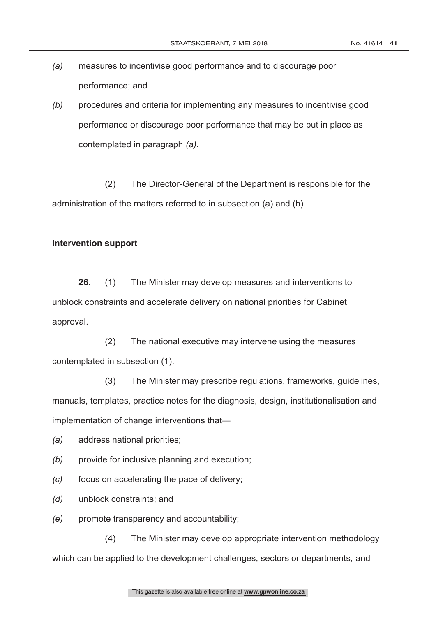- *(a)* measures to incentivise good performance and to discourage poor performance; and
- *(b)* procedures and criteria for implementing any measures to incentivise good performance or discourage poor performance that may be put in place as contemplated in paragraph *(a)*.

(2) The Director-General of the Department is responsible for the administration of the matters referred to in subsection (a) and (b)

#### **Intervention support**

**26.** (1) The Minister may develop measures and interventions to unblock constraints and accelerate delivery on national priorities for Cabinet approval.

(2) The national executive may intervene using the measures contemplated in subsection (1).

(3) The Minister may prescribe regulations, frameworks, guidelines, manuals, templates, practice notes for the diagnosis, design, institutionalisation and implementation of change interventions that―

*(a)* address national priorities;

- *(b)* provide for inclusive planning and execution;
- *(c)* focus on accelerating the pace of delivery;
- *(d)* unblock constraints; and
- *(e)* promote transparency and accountability;

(4) The Minister may develop appropriate intervention methodology which can be applied to the development challenges, sectors or departments, and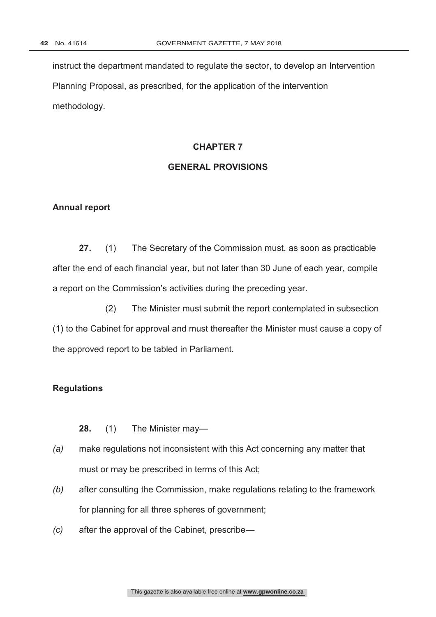instruct the department mandated to regulate the sector, to develop an Intervention Planning Proposal, as prescribed, for the application of the intervention methodology.

#### **CHAPTER 7**

### **GENERAL PROVISIONS**

#### **Annual report**

**27.** (1) The Secretary of the Commission must, as soon as practicable after the end of each financial year, but not later than 30 June of each year, compile a report on the Commission's activities during the preceding year.

(2) The Minister must submit the report contemplated in subsection (1) to the Cabinet for approval and must thereafter the Minister must cause a copy of the approved report to be tabled in Parliament.

### **Regulations**

**28.** (1) The Minister may—

- *(a)* make regulations not inconsistent with this Act concerning any matter that must or may be prescribed in terms of this Act;
- *(b)* after consulting the Commission, make regulations relating to the framework for planning for all three spheres of government;
- *(c)* after the approval of the Cabinet, prescribe—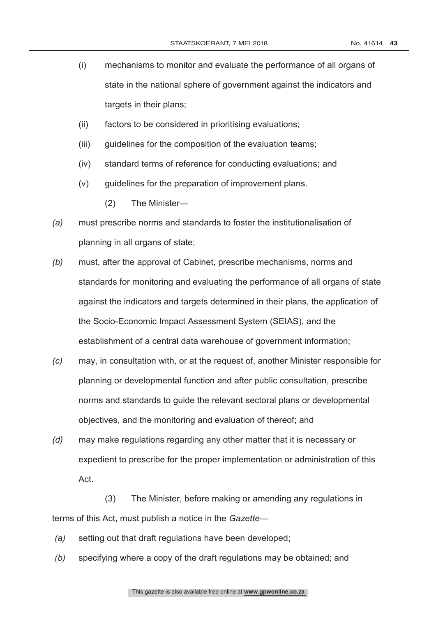- (i) mechanisms to monitor and evaluate the performance of all organs of state in the national sphere of government against the indicators and targets in their plans;
- (ii) factors to be considered in prioritising evaluations;
- (iii) guidelines for the composition of the evaluation teams;
- (iv) standard terms of reference for conducting evaluations; and
- (v) guidelines for the preparation of improvement plans.
	- (2) The Minister―
- *(a)* must prescribe norms and standards to foster the institutionalisation of planning in all organs of state;
- *(b)* must, after the approval of Cabinet, prescribe mechanisms, norms and standards for monitoring and evaluating the performance of all organs of state against the indicators and targets determined in their plans, the application of the Socio-Economic Impact Assessment System (SEIAS), and the establishment of a central data warehouse of government information;
- *(c)* may, in consultation with, or at the request of, another Minister responsible for planning or developmental function and after public consultation, prescribe norms and standards to guide the relevant sectoral plans or developmental objectives, and the monitoring and evaluation of thereof; and
- *(d)* may make regulations regarding any other matter that it is necessary or expedient to prescribe for the proper implementation or administration of this Act.

(3) The Minister, before making or amending any regulations in terms of this Act, must publish a notice in the *Gazette*—

- *(a)* setting out that draft regulations have been developed;
- *(b)* specifying where a copy of the draft regulations may be obtained; and